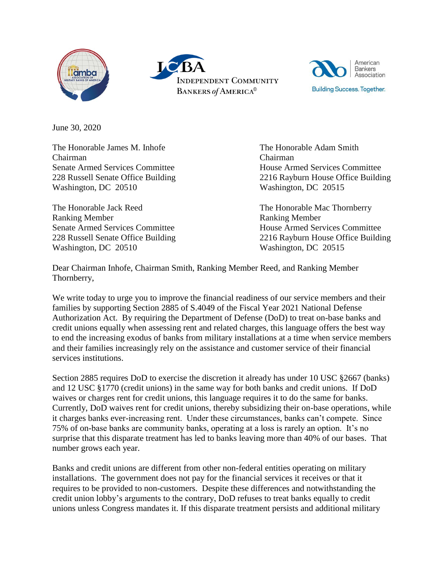





June 30, 2020

The Honorable James M. Inhofe Chairman Senate Armed Services Committee 228 Russell Senate Office Building Washington, DC 20510

The Honorable Jack Reed Ranking Member Senate Armed Services Committee 228 Russell Senate Office Building Washington, DC 20510

The Honorable Adam Smith Chairman House Armed Services Committee 2216 Rayburn House Office Building Washington, DC 20515

The Honorable Mac Thornberry Ranking Member House Armed Services Committee 2216 Rayburn House Office Building Washington, DC 20515

Dear Chairman Inhofe, Chairman Smith, Ranking Member Reed, and Ranking Member Thornberry,

We write today to urge you to improve the financial readiness of our service members and their families by supporting Section 2885 of S.4049 of the Fiscal Year 2021 National Defense Authorization Act. By requiring the Department of Defense (DoD) to treat on-base banks and credit unions equally when assessing rent and related charges, this language offers the best way to end the increasing exodus of banks from military installations at a time when service members and their families increasingly rely on the assistance and customer service of their financial services institutions.

Section 2885 requires DoD to exercise the discretion it already has under 10 USC §2667 (banks) and 12 USC §1770 (credit unions) in the same way for both banks and credit unions. If DoD waives or charges rent for credit unions, this language requires it to do the same for banks. Currently, DoD waives rent for credit unions, thereby subsidizing their on-base operations, while it charges banks ever-increasing rent. Under these circumstances, banks can't compete. Since 75% of on-base banks are community banks, operating at a loss is rarely an option. It's no surprise that this disparate treatment has led to banks leaving more than 40% of our bases. That number grows each year.

Banks and credit unions are different from other non-federal entities operating on military installations. The government does not pay for the financial services it receives or that it requires to be provided to non-customers. Despite these differences and notwithstanding the credit union lobby's arguments to the contrary, DoD refuses to treat banks equally to credit unions unless Congress mandates it. If this disparate treatment persists and additional military